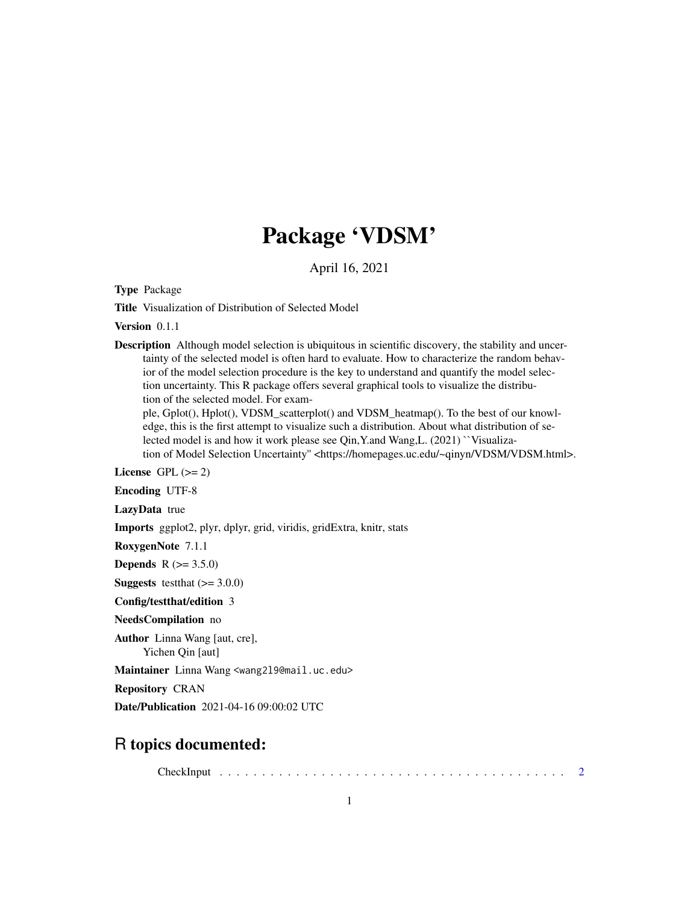## Package 'VDSM'

April 16, 2021

Type Package

Title Visualization of Distribution of Selected Model

Version 0.1.1

Description Although model selection is ubiquitous in scientific discovery, the stability and uncertainty of the selected model is often hard to evaluate. How to characterize the random behavior of the model selection procedure is the key to understand and quantify the model selection uncertainty. This R package offers several graphical tools to visualize the distribution of the selected model. For exam-

ple, Gplot(), Hplot(), VDSM\_scatterplot() and VDSM\_heatmap(). To the best of our knowledge, this is the first attempt to visualize such a distribution. About what distribution of selected model is and how it work please see Qin,Y.and Wang,L. (2021) ``Visualization of Model Selection Uncertainty" <https://homepages.uc.edu/~qinyn/VDSM/VDSM.html>.

License GPL  $(>= 2)$ 

Encoding UTF-8

LazyData true

Imports ggplot2, plyr, dplyr, grid, viridis, gridExtra, knitr, stats

RoxygenNote 7.1.1

**Depends** R  $(>= 3.5.0)$ 

**Suggests** testthat  $(>= 3.0.0)$ 

Config/testthat/edition 3

NeedsCompilation no

Author Linna Wang [aut, cre],

Yichen Qin [aut]

Maintainer Linna Wang <wang2l9@mail.uc.edu>

Repository CRAN

Date/Publication 2021-04-16 09:00:02 UTC

### R topics documented:

CheckInput . . . . . . . . . . . . . . . . . . . . . . . . . . . . . . . . . . . . . . . . . [2](#page-1-0)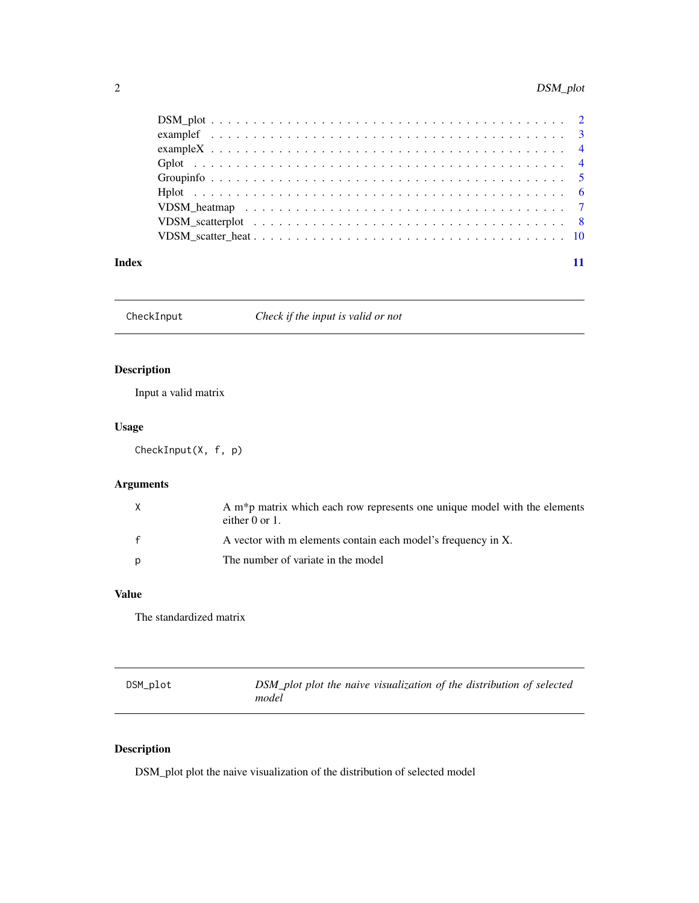#### <span id="page-1-0"></span>2 DSM\_plot

| Index |  |
|-------|--|

CheckInput *Check if the input is valid or not*

#### Description

Input a valid matrix

#### Usage

CheckInput(X, f, p)

#### Arguments

| X            | A m <sup>*</sup> p matrix which each row represents one unique model with the elements<br>either $0$ or $1$ . |
|--------------|---------------------------------------------------------------------------------------------------------------|
| $\mathbf{f}$ | A vector with m elements contain each model's frequency in X.                                                 |
| p            | The number of variate in the model                                                                            |

#### Value

The standardized matrix

| DSM_plot | DSM_plot plot the naive visualization of the distribution of selected |
|----------|-----------------------------------------------------------------------|
|          | model                                                                 |

### Description

DSM\_plot plot the naive visualization of the distribution of selected model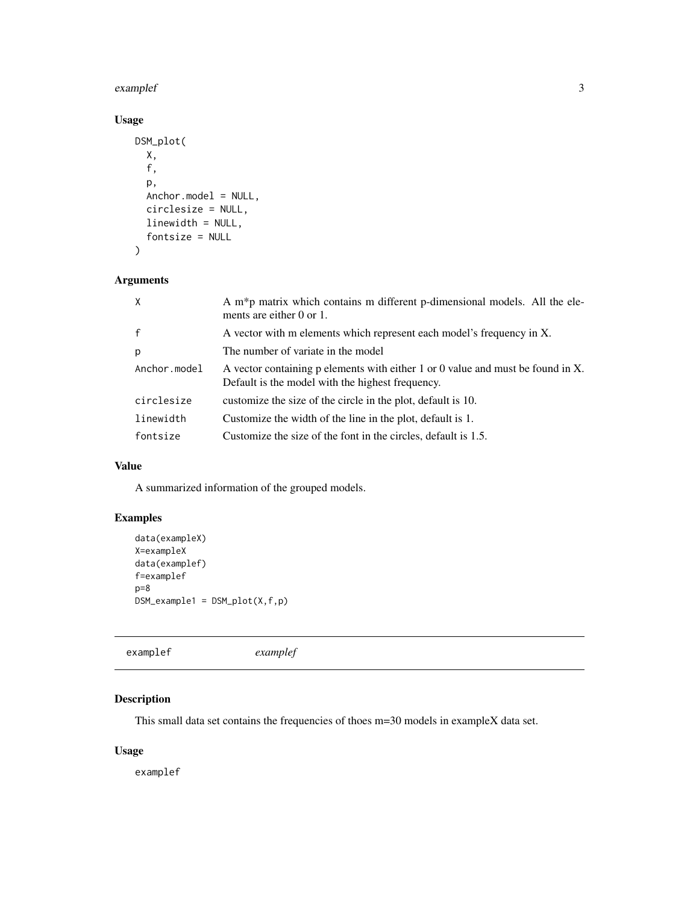#### <span id="page-2-0"></span>examplef 3

#### Usage

```
DSM_plot(
 X,
  f,
 p,
 Anchor.model = NULL,
 circlesize = NULL,
 linewidth = NULL,
  fontsize = NULL
)
```
#### Arguments

| $\mathsf{X}$ | A m*p matrix which contains m different p-dimensional models. All the ele-<br>ments are either $0$ or $1$ .                         |
|--------------|-------------------------------------------------------------------------------------------------------------------------------------|
| $\mathsf{f}$ | A vector with m elements which represent each model's frequency in X.                                                               |
| p            | The number of variate in the model                                                                                                  |
| Anchor.model | A vector containing p elements with either 1 or 0 value and must be found in X.<br>Default is the model with the highest frequency. |
| circlesize   | customize the size of the circle in the plot, default is 10.                                                                        |
| linewidth    | Customize the width of the line in the plot, default is 1.                                                                          |
| fontsize     | Customize the size of the font in the circles, default is 1.5.                                                                      |

#### Value

A summarized information of the grouped models.

#### Examples

```
data(exampleX)
X=exampleX
data(examplef)
f=examplef
p=8
DSM_example1 = DSM_plot(X,f,p)
```
examplef *examplef*

#### Description

This small data set contains the frequencies of thoes m=30 models in exampleX data set.

#### Usage

examplef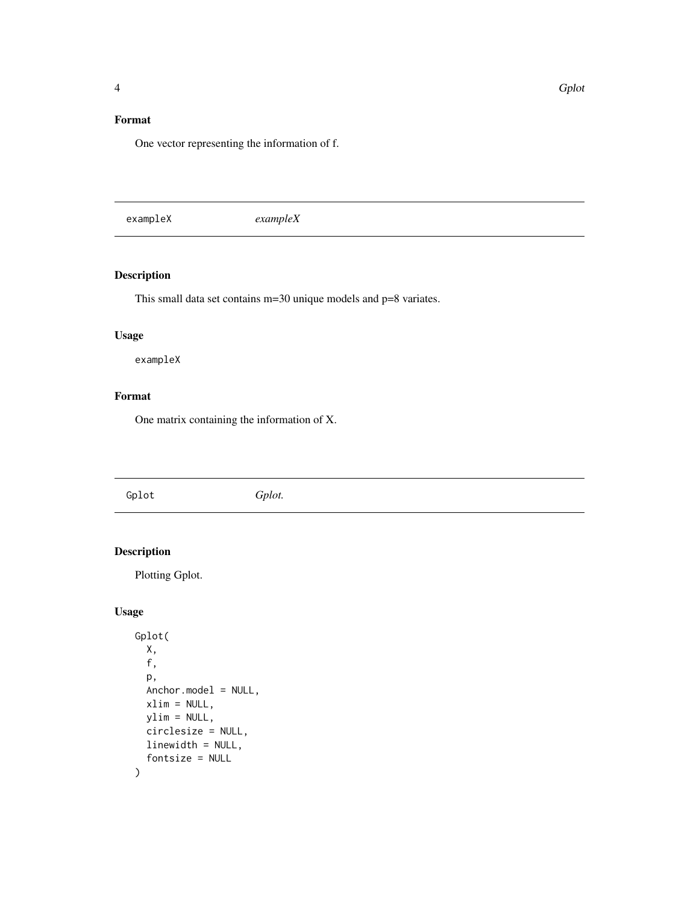#### <span id="page-3-0"></span>Format

One vector representing the information of f.

exampleX *exampleX*

#### Description

This small data set contains m=30 unique models and p=8 variates.

#### Usage

exampleX

#### Format

One matrix containing the information of X.

Gplot *Gplot.*

#### Description

Plotting Gplot.

#### Usage

```
Gplot(
  X,
  f,
  p,
  Anchor.model = NULL,
  xlim = NULL,ylim = NULL,
  circlesize = NULL,
  linewidth = NULL,
  fontsize = NULL
\mathcal{L}
```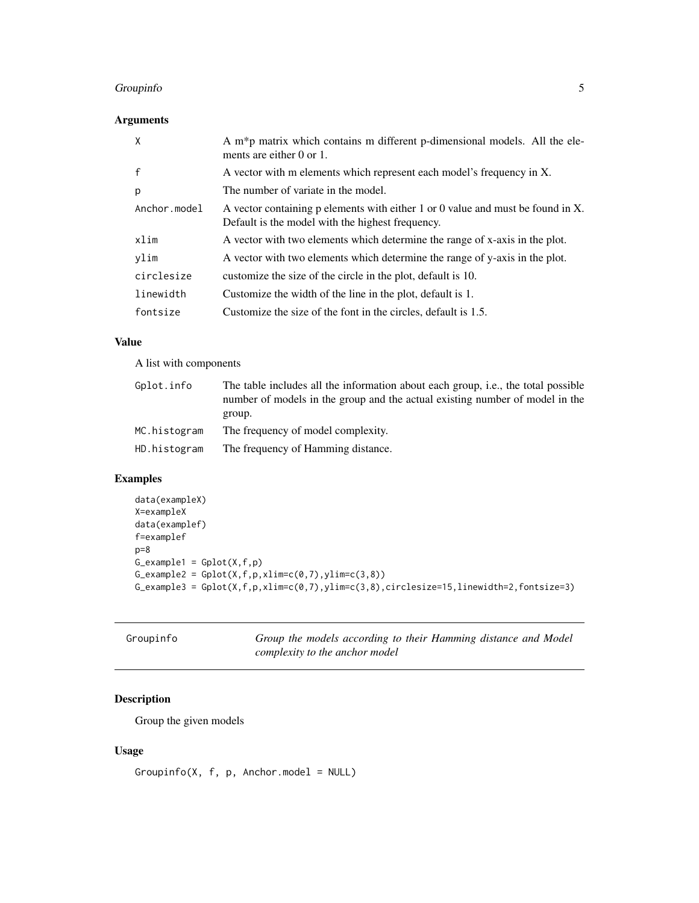#### <span id="page-4-0"></span>Groupinfo 5

#### Arguments

| $\times$     | A m*p matrix which contains m different p-dimensional models. All the ele-<br>ments are either $0$ or $1$ .                         |
|--------------|-------------------------------------------------------------------------------------------------------------------------------------|
| $\mathsf{f}$ | A vector with m elements which represent each model's frequency in X.                                                               |
| p            | The number of variate in the model.                                                                                                 |
| Anchor.model | A vector containing p elements with either 1 or 0 value and must be found in X.<br>Default is the model with the highest frequency. |
| xlim         | A vector with two elements which determine the range of x-axis in the plot.                                                         |
| ylim         | A vector with two elements which determine the range of y-axis in the plot.                                                         |
| circlesize   | customize the size of the circle in the plot, default is 10.                                                                        |
| linewidth    | Customize the width of the line in the plot, default is 1.                                                                          |
| fontsize     | Customize the size of the font in the circles, default is 1.5.                                                                      |

#### Value

A list with components

| Gplot.info   | The table includes all the information about each group, i.e., the total possible<br>number of models in the group and the actual existing number of model in the<br>group. |
|--------------|-----------------------------------------------------------------------------------------------------------------------------------------------------------------------------|
| MC.histogram | The frequency of model complexity.                                                                                                                                          |
| HD.histogram | The frequency of Hamming distance.                                                                                                                                          |

#### Examples

```
data(exampleX)
X=exampleX
data(examplef)
f=examplef
p=8
G<sub>e</sub>xample1 = Gplot(X, f, p)G_example2 = Gplot(X, f, p, xlim=c(0, 7), ylim=c(3, 8))G_example3 = Gplot(X, f, p, xlim=c(0, 7), ylim=c(3, 8), circlesize=15, linewidth=2, fontsize=3)
```

| Groupinfo | Group the models according to their Hamming distance and Model |
|-----------|----------------------------------------------------------------|
|           | complexity to the anchor model                                 |

#### Description

Group the given models

#### Usage

 $Groupinfo(X, f, p, Anchor.model = NULL)$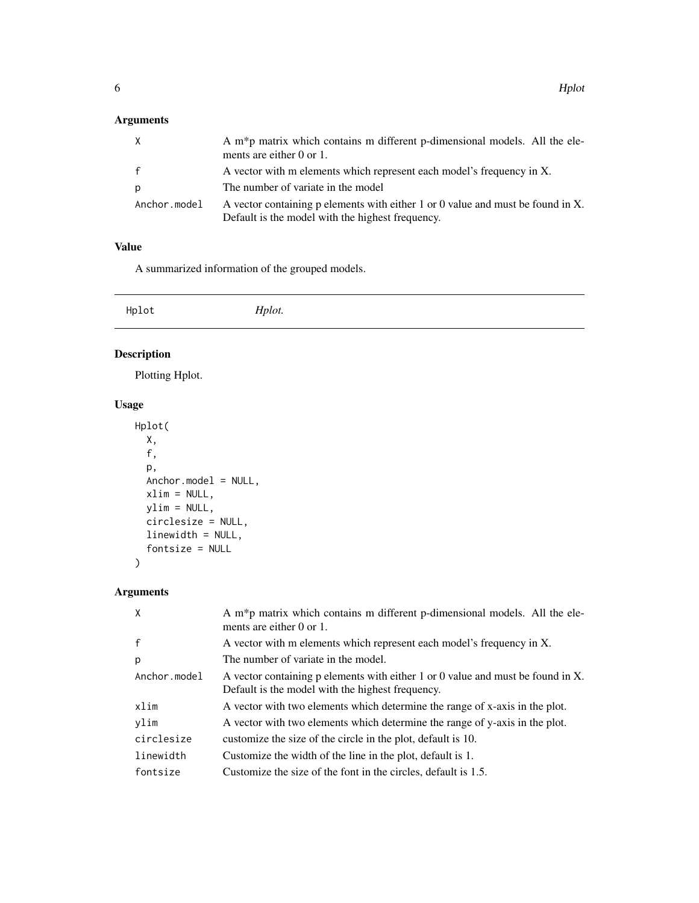#### <span id="page-5-0"></span>Arguments

| X            | A m <sup>*</sup> p matrix which contains m different p-dimensional models. All the ele-<br>ments are either 0 or 1.                 |
|--------------|-------------------------------------------------------------------------------------------------------------------------------------|
| f            | A vector with m elements which represent each model's frequency in X.                                                               |
| p            | The number of variate in the model                                                                                                  |
| Anchor.model | A vector containing p elements with either 1 or 0 value and must be found in X.<br>Default is the model with the highest frequency. |

#### Value

A summarized information of the grouped models.

Hplot *Hplot.*

#### Description

Plotting Hplot.

### Usage

```
Hplot(
 X,
 f,
 p,
 Anchor.model = NULL,
 xlim = NULL,
 ylim = NULL,
 circlesize = NULL,
 linewidth = NULL,
  fontsize = NULL
)
```
#### Arguments

| $\times$     | A m*p matrix which contains m different p-dimensional models. All the ele-<br>ments are either $0$ or $1$ .                         |
|--------------|-------------------------------------------------------------------------------------------------------------------------------------|
| $\mathsf{f}$ | A vector with m elements which represent each model's frequency in X.                                                               |
| p            | The number of variate in the model.                                                                                                 |
| Anchor.model | A vector containing p elements with either 1 or 0 value and must be found in X.<br>Default is the model with the highest frequency. |
| xlim         | A vector with two elements which determine the range of x-axis in the plot.                                                         |
| ylim         | A vector with two elements which determine the range of y-axis in the plot.                                                         |
| circlesize   | customize the size of the circle in the plot, default is 10.                                                                        |
| linewidth    | Customize the width of the line in the plot, default is 1.                                                                          |
| fontsize     | Customize the size of the font in the circles, default is 1.5.                                                                      |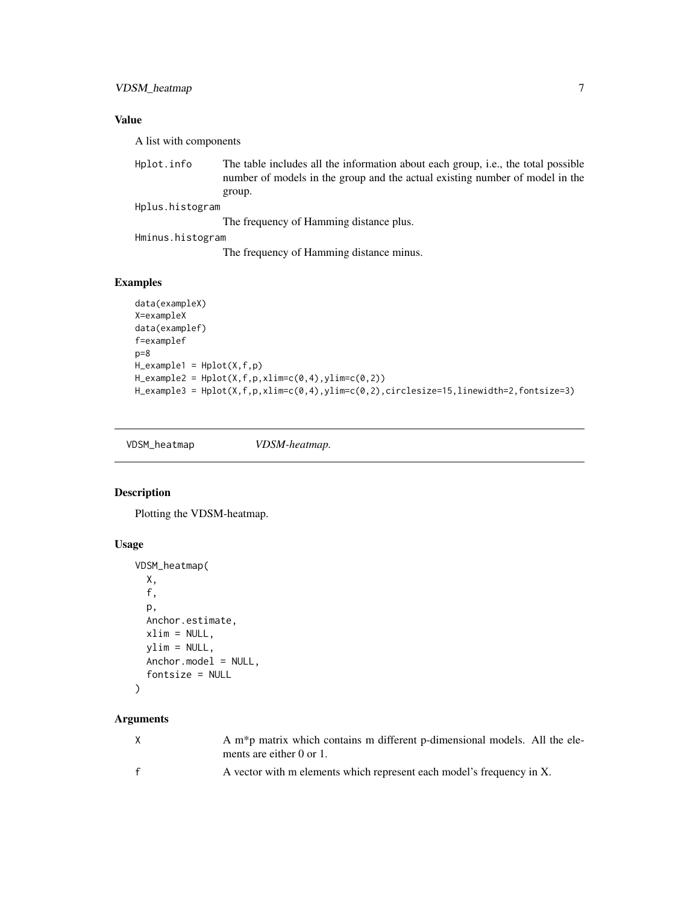#### <span id="page-6-0"></span>Value

A list with components

Hplot.info The table includes all the information about each group, i.e., the total possible number of models in the group and the actual existing number of model in the group.

Hplus.histogram

The frequency of Hamming distance plus.

Hminus.histogram

The frequency of Hamming distance minus.

#### Examples

```
data(exampleX)
X=exampleX
data(examplef)
f=examplef
p=8H<sup>-</sup>example1 = Hplot(X,f,p)
H_{\text{example2}} = Hplot(X, f, p, xlim=c(0, 4), ylim=c(0, 2))H_example3 = Hplot(X,f,p,xlim=c(0,4),ylim=c(0,2),circlesize=15,linewidth=2,fontsize=3)
```
VDSM\_heatmap *VDSM-heatmap.*

#### Description

Plotting the VDSM-heatmap.

#### Usage

```
VDSM_heatmap(
 X,
  f,
 p,
 Anchor.estimate,
 xlim = NULL,
 vlim = NULL,Anchor.model = NULL,
  fontsize = NULL
)
```
#### Arguments

| $\mathsf{X}$ | A m <sup>*</sup> p matrix which contains m different p-dimensional models. All the ele-<br>ments are either $0$ or $1$ . |
|--------------|--------------------------------------------------------------------------------------------------------------------------|
|              | A vector with m elements which represent each model's frequency in X.                                                    |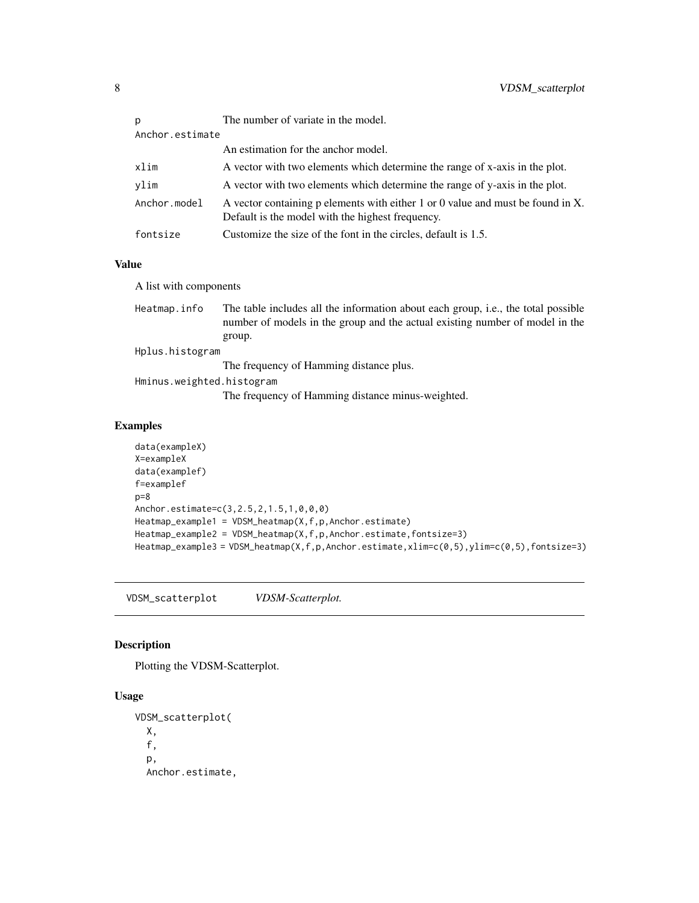<span id="page-7-0"></span>

| p               | The number of variate in the model.                                                                                                 |
|-----------------|-------------------------------------------------------------------------------------------------------------------------------------|
| Anchor.estimate |                                                                                                                                     |
|                 | An estimation for the anchor model.                                                                                                 |
| xlim            | A vector with two elements which determine the range of x-axis in the plot.                                                         |
| vlim            | A vector with two elements which determine the range of y-axis in the plot.                                                         |
| Anchor.model    | A vector containing p elements with either 1 or 0 value and must be found in X.<br>Default is the model with the highest frequency. |
| fontsize        | Customize the size of the font in the circles, default is 1.5.                                                                      |
|                 |                                                                                                                                     |

#### Value

A list with components

| Heatmap.info              | The table includes all the information about each group, i.e., the total possible<br>number of models in the group and the actual existing number of model in the |  |  |
|---------------------------|-------------------------------------------------------------------------------------------------------------------------------------------------------------------|--|--|
|                           | group.                                                                                                                                                            |  |  |
|                           | Hplus.histogram                                                                                                                                                   |  |  |
|                           | The frequency of Hamming distance plus.                                                                                                                           |  |  |
| Hminus.weighted.histogram |                                                                                                                                                                   |  |  |
|                           | The frequency of Hamming distance minus-weighted.                                                                                                                 |  |  |

#### Examples

```
data(exampleX)
X=exampleX
data(examplef)
f=examplef
p=8
Anchor.estimate=c(3,2.5,2,1.5,1,0,0,0)
Heatmap_example1 = VDSM_heatmap(X,f,p,Anchor.estimate)
Heatmap_example2 = VDSM_heatmap(X,f,p,Anchor.estimate,fontsize=3)
Heatmap_example3 = VDSM_heatmap(X,f,p,Anchor.estimate,xlim=c(0,5),ylim=c(0,5),fontsize=3)
```
VDSM\_scatterplot *VDSM-Scatterplot.*

#### Description

Plotting the VDSM-Scatterplot.

#### Usage

```
VDSM_scatterplot(
  X,
  f,
 p,
 Anchor.estimate,
```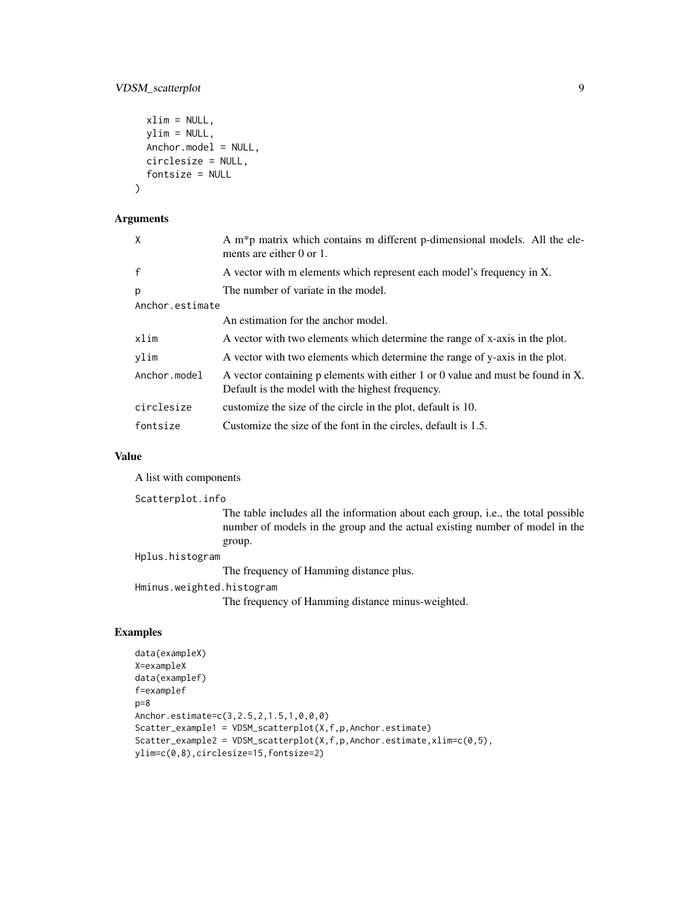#### VDSM\_scatterplot 9

```
xlim = NULL,ylim = NULL,
 Anchor.model = NULL,
 circlesize = NULL,
  fontsize = NULL
\mathcal{L}
```
#### Arguments

| X               | A m*p matrix which contains m different p-dimensional models. All the ele-<br>ments are either $0$ or $1$ .                         |
|-----------------|-------------------------------------------------------------------------------------------------------------------------------------|
| $\mathsf{f}$    | A vector with m elements which represent each model's frequency in X.                                                               |
| p               | The number of variate in the model.                                                                                                 |
| Anchor.estimate |                                                                                                                                     |
|                 | An estimation for the anchor model.                                                                                                 |
| xlim            | A vector with two elements which determine the range of x-axis in the plot.                                                         |
| vlim            | A vector with two elements which determine the range of y-axis in the plot.                                                         |
| Anchor.model    | A vector containing p elements with either 1 or 0 value and must be found in X.<br>Default is the model with the highest frequency. |
| circlesize      | customize the size of the circle in the plot, default is 10.                                                                        |
| fontsize        | Customize the size of the font in the circles, default is 1.5.                                                                      |

#### Value

A list with components

```
Scatterplot.info
```
The table includes all the information about each group, i.e., the total possible number of models in the group and the actual existing number of model in the group.

Hplus.histogram

The frequency of Hamming distance plus.

```
Hminus.weighted.histogram
```
The frequency of Hamming distance minus-weighted.

#### Examples

```
data(exampleX)
X=exampleX
data(examplef)
f=examplef
p=8
Anchor.estimate=c(3,2.5,2,1.5,1,0,0,0)
Scatter_example1 = VDSM_scatterplot(X,f,p,Anchor.estimate)
Scatter_example2 = VDSM_scatterplot(X,f,p,Anchor.estimate,xlim=c(0,5),
ylim=c(0,8),circlesize=15,fontsize=2)
```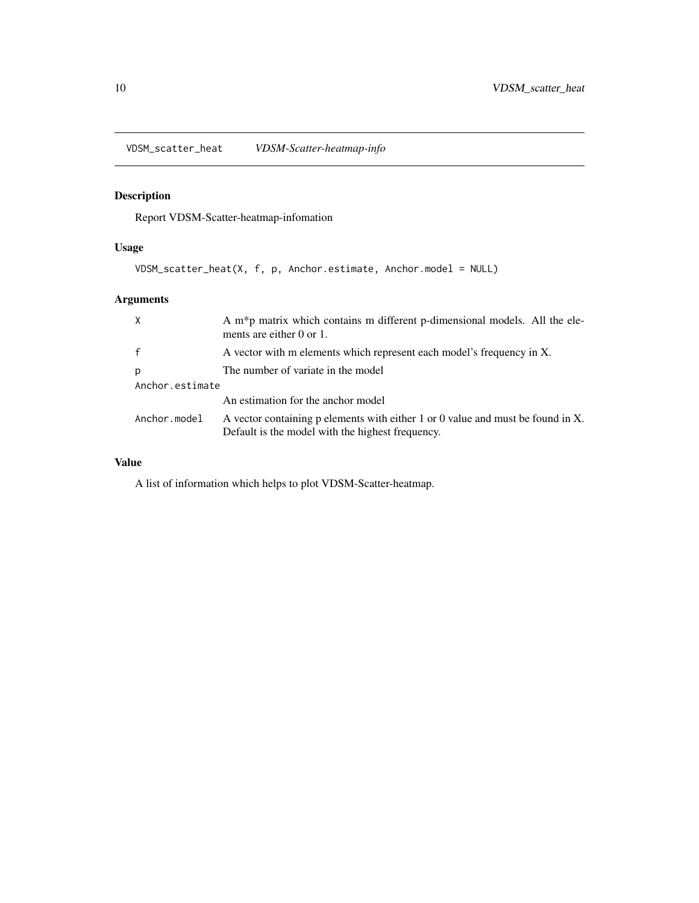<span id="page-9-0"></span>VDSM\_scatter\_heat *VDSM-Scatter-heatmap-info*

#### Description

Report VDSM-Scatter-heatmap-infomation

#### Usage

VDSM\_scatter\_heat(X, f, p, Anchor.estimate, Anchor.model = NULL)

#### Arguments

| $\times$        | A m*p matrix which contains m different p-dimensional models. All the ele-<br>ments are either $0$ or $1$ .                         |  |
|-----------------|-------------------------------------------------------------------------------------------------------------------------------------|--|
| $\mathsf{f}$    | A vector with m elements which represent each model's frequency in X.                                                               |  |
| p               | The number of variate in the model                                                                                                  |  |
| Anchor.estimate |                                                                                                                                     |  |
|                 | An estimation for the anchor model                                                                                                  |  |
| Anchor.model    | A vector containing p elements with either 1 or 0 value and must be found in X.<br>Default is the model with the highest frequency. |  |

#### Value

A list of information which helps to plot VDSM-Scatter-heatmap.